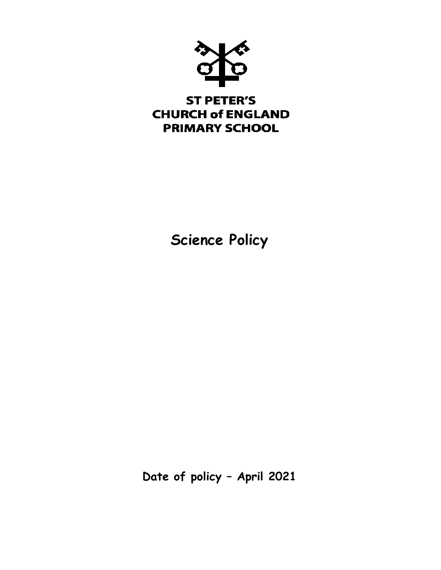

# **ST PETER'S CHURCH of ENGLAND PRIMARY SCHOOL**

**Science Policy**

**Date of policy – April 2021**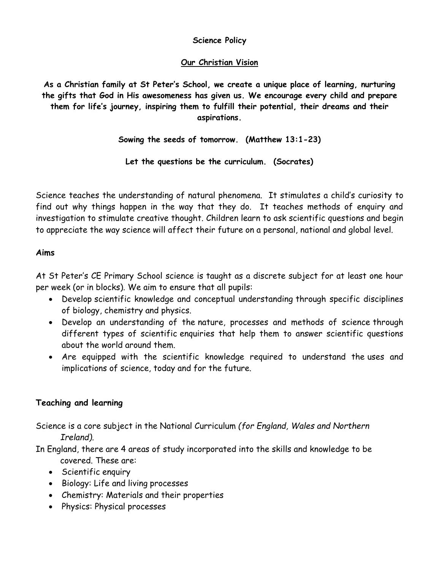## **Science Policy**

## **Our Christian Vision**

**As a Christian family at St Peter's School, we create a unique place of learning, nurturing the gifts that God in His awesomeness has given us. We encourage every child and prepare them for life's journey, inspiring them to fulfill their potential, their dreams and their aspirations.**

**Sowing the seeds of tomorrow. (Matthew 13:1-23)**

**Let the questions be the curriculum. (Socrates)**

Science teaches the understanding of natural phenomena. It stimulates a child's curiosity to find out why things happen in the way that they do. It teaches methods of enquiry and investigation to stimulate creative thought. Children learn to ask scientific questions and begin to appreciate the way science will affect their future on a personal, national and global level.

## **Aims**

At St Peter's CE Primary School science is taught as a discrete subject for at least one hour per week (or in blocks). We aim to ensure that all pupils:

- Develop scientific knowledge and conceptual understanding through specific disciplines of biology, chemistry and physics.
- Develop an understanding of the nature, processes and methods of science through different types of scientific enquiries that help them to answer scientific questions about the world around them.
- Are equipped with the scientific knowledge required to understand the uses and implications of science, today and for the future.

# **Teaching and learning**

Science is a core subject in the National Curriculum *(for England, Wales and Northern Ireland).*

In England, there are 4 areas of study incorporated into the skills and knowledge to be covered. These are:

- Scientific enquiry
- Biology: Life and living processes
- Chemistry: Materials and their properties
- Physics: Physical processes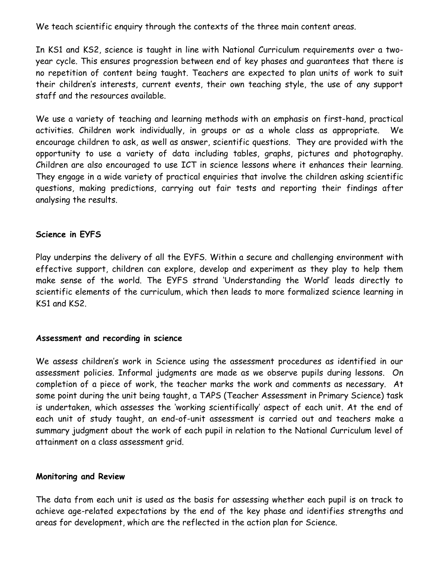We teach scientific enquiry through the contexts of the three main content areas.

In KS1 and KS2, science is taught in line with National Curriculum requirements over a twoyear cycle. This ensures progression between end of key phases and guarantees that there is no repetition of content being taught. Teachers are expected to plan units of work to suit their children's interests, current events, their own teaching style, the use of any support staff and the resources available.

We use a variety of teaching and learning methods with an emphasis on first-hand, practical activities. Children work individually, in groups or as a whole class as appropriate. We encourage children to ask, as well as answer, scientific questions. They are provided with the opportunity to use a variety of data including tables, graphs, pictures and photography. Children are also encouraged to use ICT in science lessons where it enhances their learning. They engage in a wide variety of practical enquiries that involve the children asking scientific questions, making predictions, carrying out fair tests and reporting their findings after analysing the results.

#### **Science in EYFS**

Play underpins the delivery of all the EYFS. Within a secure and challenging environment with effective support, children can explore, develop and experiment as they play to help them make sense of the world. The EYFS strand 'Understanding the World' leads directly to scientific elements of the curriculum, which then leads to more formalized science learning in KS1 and KS2.

#### **Assessment and recording in science**

We assess children's work in Science using the assessment procedures as identified in our assessment policies. Informal judgments are made as we observe pupils during lessons. On completion of a piece of work, the teacher marks the work and comments as necessary. At some point during the unit being taught, a TAPS (Teacher Assessment in Primary Science) task is undertaken, which assesses the 'working scientifically' aspect of each unit. At the end of each unit of study taught, an end-of-unit assessment is carried out and teachers make a summary judgment about the work of each pupil in relation to the National Curriculum level of attainment on a class assessment grid.

#### **Monitoring and Review**

The data from each unit is used as the basis for assessing whether each pupil is on track to achieve age-related expectations by the end of the key phase and identifies strengths and areas for development, which are the reflected in the action plan for Science.